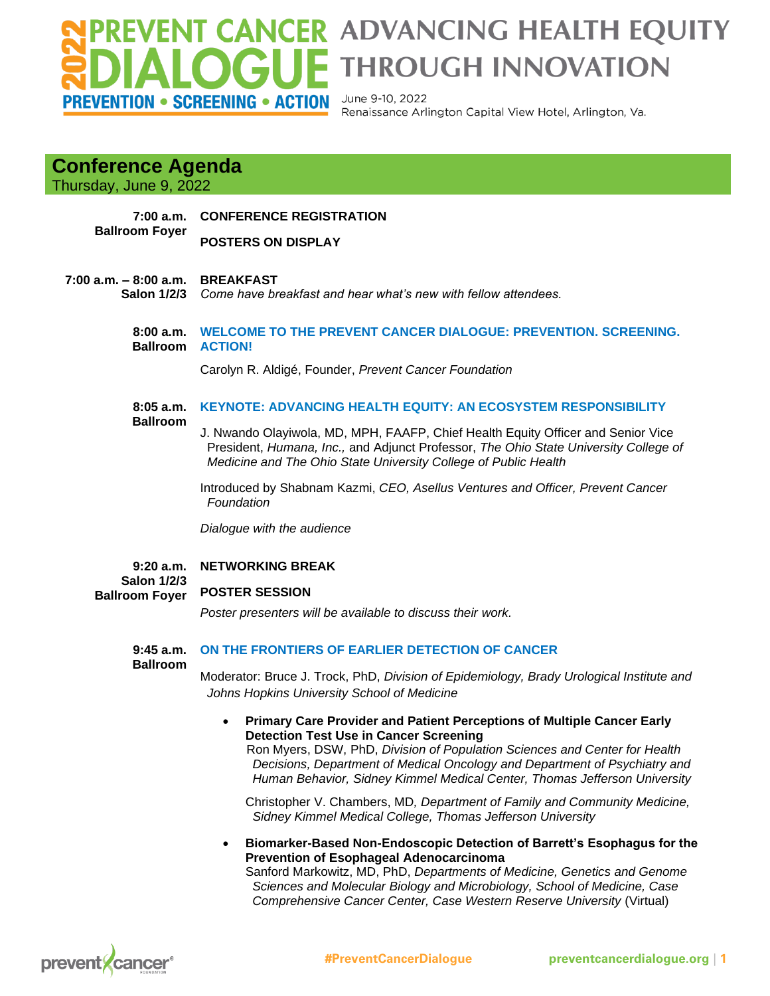## VENT CANCER ADVANCING HEALTH EQUITY **GUE THROUGH INNOVATION** PREVENTION • SCREENING • ACTION

June 9-10, 2022 Renaissance Arlington Capital View Hotel, Arlington, Va.

## **Conference Agenda**

Thursday, June 9, 2022

**7:00 a.m. Ballroom Foyer CONFERENCE REGISTRATION**

**POSTERS ON DISPLAY**

### **7:00 a.m. – 8:00 a.m. BREAKFAST**

**Salon 1/2/3** *Come have breakfast and hear what's new with fellow attendees.*

**8:00 a.m. WELCOME TO THE PREVENT CANCER DIALOGUE: PREVENTION. SCREENING. Ballroom ACTION!**

Carolyn R. Aldigé, Founder, *Prevent Cancer Foundation*

#### **8:05 a.m. Ballroom KEYNOTE: ADVANCING HEALTH EQUITY: AN ECOSYSTEM RESPONSIBILITY**

J. Nwando Olayiwola, MD, MPH, FAAFP, Chief Health Equity Officer and Senior Vice President, *Humana, Inc.,* and Adjunct Professor, *The Ohio State University College of Medicine and The Ohio State University College of Public Health*

Introduced by Shabnam Kazmi, *CEO, Asellus Ventures and Officer, Prevent Cancer Foundation*

*Dialogue with the audience*

**9:20 a.m. Salon 1/2/3 NETWORKING BREAK**

**Ballroom Foyer POSTER SESSION**

*Poster presenters will be available to discuss their work.*

**9:45 a.m. ON THE FRONTIERS OF EARLIER DETECTION OF CANCER**

**Ballroom**

Moderator: Bruce J. Trock, PhD, *Division of Epidemiology, Brady Urological Institute and Johns Hopkins University School of Medicine*

• **Primary Care Provider and Patient Perceptions of Multiple Cancer Early Detection Test Use in Cancer Screening**

Ron Myers, DSW, PhD, *Division of Population Sciences and Center for Health Decisions, Department of Medical Oncology and Department of Psychiatry and Human Behavior, Sidney Kimmel Medical Center, Thomas Jefferson University*

 Christopher V. Chambers, MD*, Department of Family and Community Medicine, Sidney Kimmel Medical College, Thomas Jefferson University*

• **Biomarker-Based Non-Endoscopic Detection of Barrett's Esophagus for the Prevention of Esophageal Adenocarcinoma**

Sanford Markowitz, MD, PhD, *Departments of Medicine, Genetics and Genome Sciences and Molecular Biology and Microbiology, School of Medicine, Case Comprehensive Cancer Center, Case Western Reserve University* (Virtual)

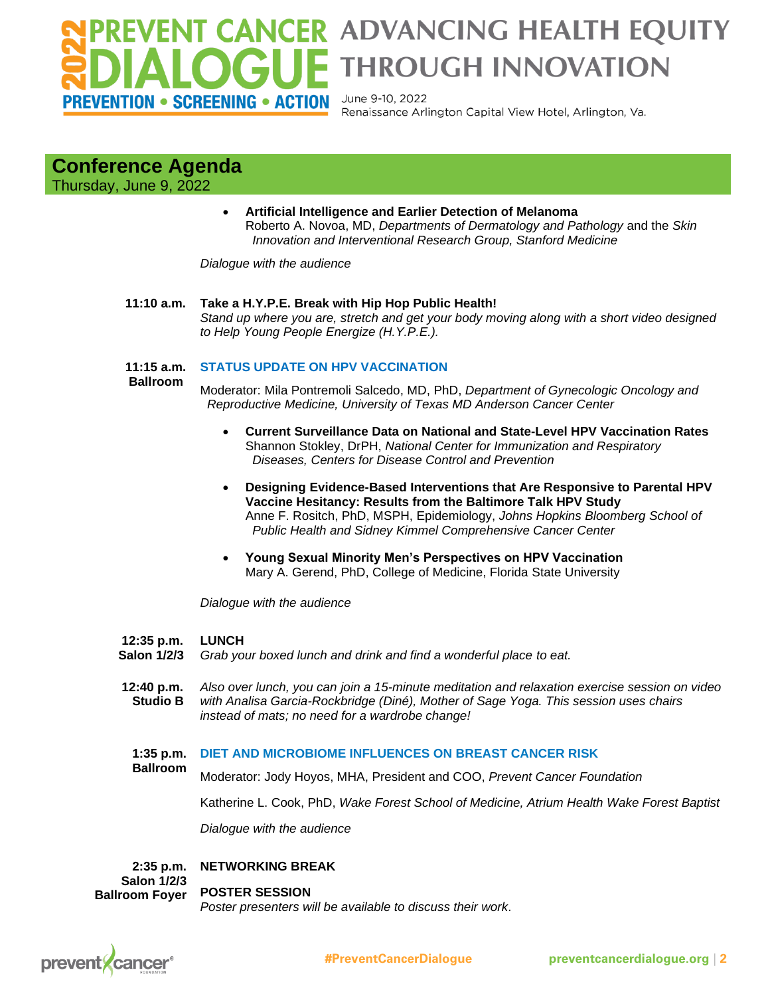## **VENT CANCER ADVANCING HEALTH EQUITY F THROUGH INNOVATION** June 9-10, 2022 PREVENTION • SCREENING • ACTION

Renaissance Arlington Capital View Hotel, Arlington, Va.

## **Conference Agenda**

Thursday, June 9, 2022

• **Artificial Intelligence and Earlier Detection of Melanoma** Roberto A. Novoa, MD, *Departments of Dermatology and Pathology* and the *Skin Innovation and Interventional Research Group, Stanford Medicine*

*Dialogue with the audience*

## **11:10 a.m. Take a H.Y.P.E. Break with Hip Hop Public Health!**

*Stand up where you are, stretch and get your body moving along with a short video designed to Help Young People Energize (H.Y.P.E.).* 

#### **11:15 a.m. STATUS UPDATE ON HPV VACCINATION**

 **Ballroom**

Moderator: Mila Pontremoli Salcedo, MD, PhD, *Department of Gynecologic Oncology and Reproductive Medicine, University of Texas MD Anderson Cancer Center*

- **Current Surveillance Data on National and State-Level HPV Vaccination Rates** Shannon Stokley, DrPH, *National Center for Immunization and Respiratory Diseases, Centers for Disease Control and Prevention*
- **Designing Evidence-Based Interventions that Are Responsive to Parental HPV Vaccine Hesitancy: Results from the Baltimore Talk HPV Study** Anne F. Rositch, PhD, MSPH, Epidemiology, *Johns Hopkins Bloomberg School of Public Health and Sidney Kimmel Comprehensive Cancer Center*
- **Young Sexual Minority Men's Perspectives on HPV Vaccination** Mary A. Gerend, PhD, College of Medicine, Florida State University

*Dialogue with the audience*

#### **12:35 p.m. LUNCH**

 **Salon 1/2/3** *Grab your boxed lunch and drink and find a wonderful place to eat.* 

 **12:40 p.m. Studio B** *Also over lunch, you can join a 15-minute meditation and relaxation exercise session on video with Analisa Garcia-Rockbridge (Diné), Mother of Sage Yoga. This session uses chairs instead of mats; no need for a wardrobe change!* 

#### **1:35 p.m. DIET AND MICROBIOME INFLUENCES ON BREAST CANCER RISK**

**Ballroom** Moderator: Jody Hoyos, MHA, President and COO, *Prevent Cancer Foundation*

Katherine L. Cook, PhD, *Wake Forest School of Medicine, Atrium Health Wake Forest Baptist*

*Dialogue with the audience*

#### **2:35 p.m. NETWORKING BREAK**

**Salon 1/2/3 Ballroom Foyer POSTER SESSION** *Poster presenters will be available to discuss their work.*

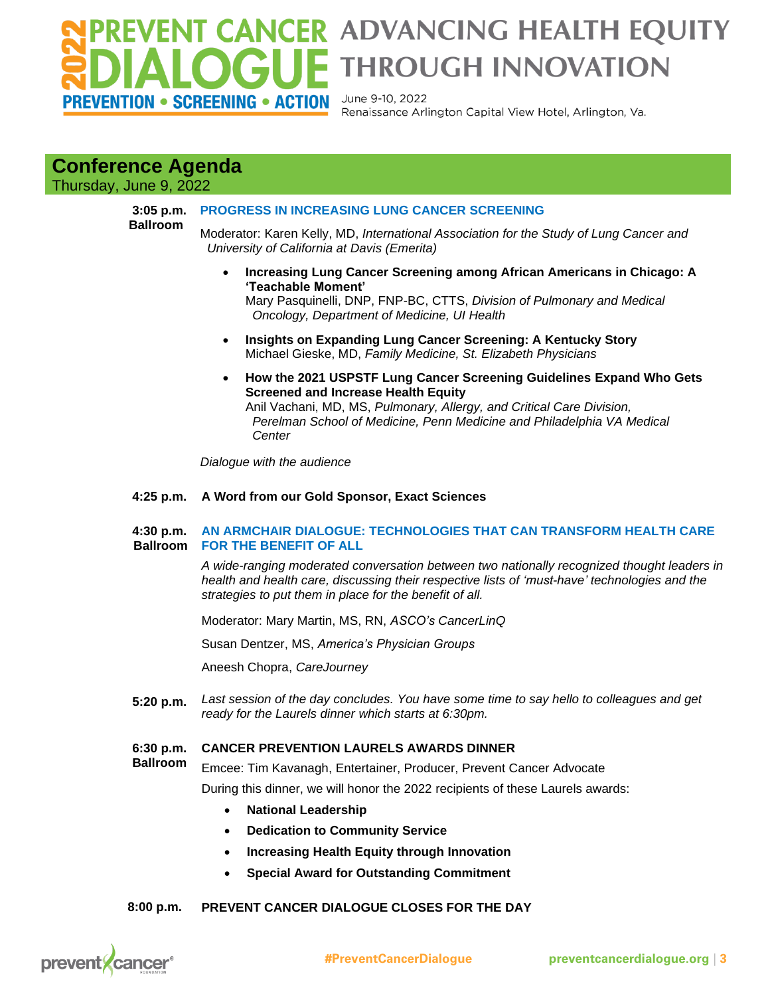## **VENT CANCER ADVANCING HEALTH EQUITY F THROUGH INNOVATION** PREVENTION • SCREENING • ACTION

June 9-10, 2022 Renaissance Arlington Capital View Hotel, Arlington, Va.

## **Conference Agenda**

Thursday, June 9, 2022

**3:05 p.m. Ballroom**

## **PROGRESS IN INCREASING LUNG CANCER SCREENING**

Moderator: Karen Kelly, MD, *International Association for the Study of Lung Cancer and University of California at Davis (Emerita)*

• **Increasing Lung Cancer Screening among African Americans in Chicago: A 'Teachable Moment'** 

Mary Pasquinelli, DNP, FNP-BC, CTTS, *Division of Pulmonary and Medical Oncology, Department of Medicine, UI Health*

- **Insights on Expanding Lung Cancer Screening: A Kentucky Story** Michael Gieske, MD, *Family Medicine, St. Elizabeth Physicians*
- **How the 2021 USPSTF Lung Cancer Screening Guidelines Expand Who Gets Screened and Increase Health Equity**

Anil Vachani, MD, MS, *Pulmonary, Allergy, and Critical Care Division, Perelman School of Medicine, Penn Medicine and Philadelphia VA Medical Center*

*Dialogue with the audience*

## **4:25 p.m. A Word from our Gold Sponsor, Exact Sciences**

#### **4:30 p.m. Ballroom AN ARMCHAIR DIALOGUE: TECHNOLOGIES THAT CAN TRANSFORM HEALTH CARE FOR THE BENEFIT OF ALL**

*A wide-ranging moderated conversation between two nationally recognized thought leaders in health and health care, discussing their respective lists of 'must-have' technologies and the strategies to put them in place for the benefit of all.*

Moderator: Mary Martin, MS, RN, *ASCO's CancerLinQ* 

Susan Dentzer, MS, *America's Physician Groups*

Aneesh Chopra, *CareJourney*

 **5:20 p.m.** *Last session of the day concludes. You have some time to say hello to colleagues and get ready for the Laurels dinner which starts at 6:30pm.*

#### **6:30 p.m. CANCER PREVENTION LAURELS AWARDS DINNER**

 **Ballroom** Emcee: Tim Kavanagh, Entertainer, Producer, Prevent Cancer Advocate

During this dinner, we will honor the 2022 recipients of these Laurels awards:

- **National Leadership**
- **Dedication to Community Service**
- **Increasing Health Equity through Innovation**
- **Special Award for Outstanding Commitment**

#### **8:00 p.m. PREVENT CANCER DIALOGUE CLOSES FOR THE DAY**

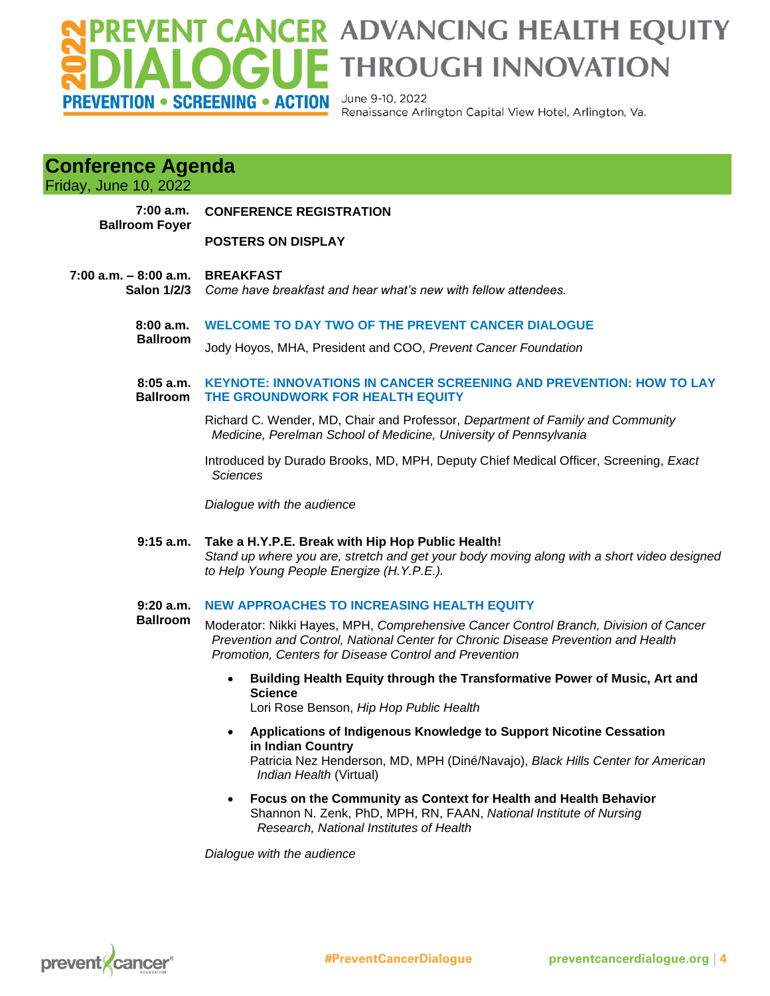## PREVENT CANCER ADVANCING HEALTH EQUITY<br>DIALOGUE THROUGH INNOVATION **PREVENTION • SCREENING • ACTION**

June 9-10, 2022 Renaissance Arlington Capital View Hotel, Arlington, Va.

## **Conference Agenda**

| <b>Friday, June 10, 2022</b>                   |                                                                                                                                                                                                                                    |
|------------------------------------------------|------------------------------------------------------------------------------------------------------------------------------------------------------------------------------------------------------------------------------------|
| 7:00 a.m.<br><b>Ballroom Foyer</b>             | <b>CONFERENCE REGISTRATION</b>                                                                                                                                                                                                     |
|                                                | <b>POSTERS ON DISPLAY</b>                                                                                                                                                                                                          |
| $7:00$ a.m. $-8:00$ a.m.<br><b>Salon 1/2/3</b> | <b>BREAKFAST</b><br>Come have breakfast and hear what's new with fellow attendees.                                                                                                                                                 |
| 8:00a.m.<br><b>Ballroom</b>                    | <b>WELCOME TO DAY TWO OF THE PREVENT CANCER DIALOGUE</b>                                                                                                                                                                           |
|                                                | Jody Hoyos, MHA, President and COO, Prevent Cancer Foundation                                                                                                                                                                      |
| 8:05a.m.<br><b>Ballroom</b>                    | <b>KEYNOTE: INNOVATIONS IN CANCER SCREENING AND PREVENTION: HOW TO LAY</b><br>THE GROUNDWORK FOR HEALTH EQUITY                                                                                                                     |
|                                                | Richard C. Wender, MD, Chair and Professor, Department of Family and Community<br>Medicine, Perelman School of Medicine, University of Pennsylvania                                                                                |
|                                                | Introduced by Durado Brooks, MD, MPH, Deputy Chief Medical Officer, Screening, Exact<br><b>Sciences</b>                                                                                                                            |
|                                                | Dialogue with the audience                                                                                                                                                                                                         |
|                                                | 9:15 a.m. Take a H.Y.P.E. Break with Hip Hop Public Health!<br>Stand up where you are, stretch and get your body moving along with a short video designed<br>to Help Young People Energize (H.Y.P.E.).                             |
| 9:20a.m.<br><b>Ballroom</b>                    | <b>NEW APPROACHES TO INCREASING HEALTH EQUITY</b>                                                                                                                                                                                  |
|                                                | Moderator: Nikki Hayes, MPH, Comprehensive Cancer Control Branch, Division of Cancer<br>Prevention and Control, National Center for Chronic Disease Prevention and Health<br>Promotion, Centers for Disease Control and Prevention |
|                                                | Building Health Equity through the Transformative Power of Music, Art and<br>$\bullet$<br><b>Science</b><br>Lori Rose Benson, Hip Hop Public Health                                                                                |
|                                                | Applications of Indigenous Knowledge to Support Nicotine Cessation<br>$\bullet$<br>in Indian Country<br>Patricia Nez Henderson, MD, MPH (Diné/Navajo), Black Hills Center for American<br>Indian Health (Virtual)                  |
|                                                | Focus on the Community as Context for Health and Health Behavior<br>$\bullet$<br>Shannon N. Zenk, PhD, MPH, RN, FAAN, National Institute of Nursing<br>Research, National Institutes of Health                                     |
|                                                |                                                                                                                                                                                                                                    |

*Dialogue with the audience*

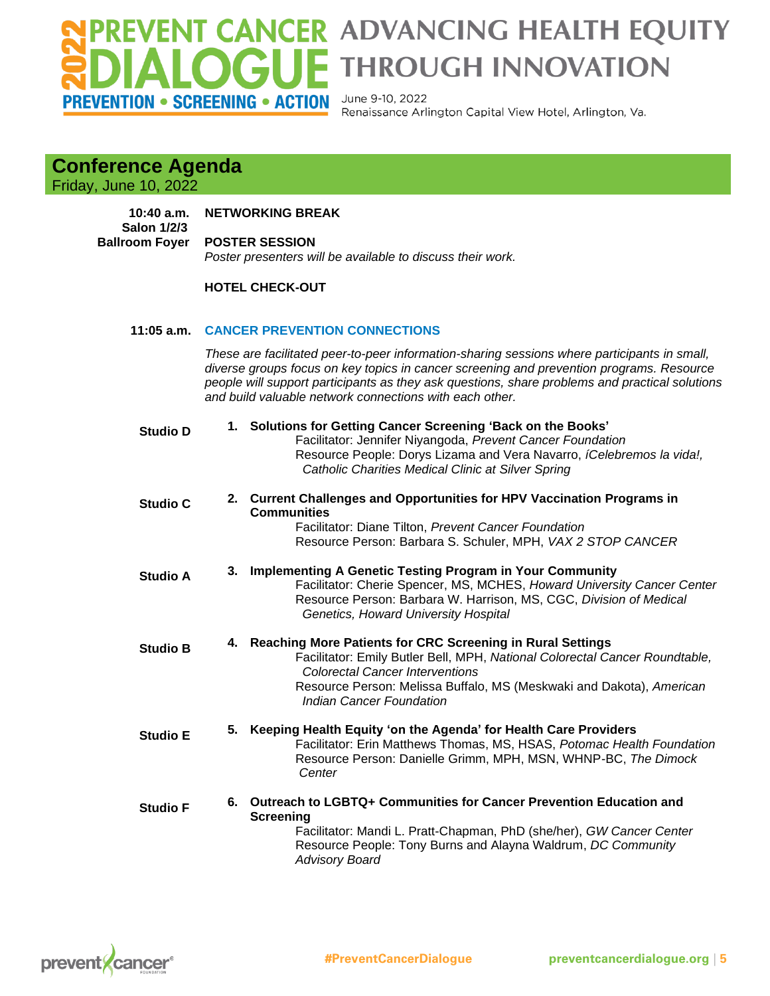# **PREVENTION • SCREENING • ACTION**

## VENT CANCER ADVANCING HEALTH EQUITY<br>ALOGUE THROUGH INNOVATION

June 9-10, 2022 Renaissance Arlington Capital View Hotel, Arlington, Va.

## **Conference Agenda**

Friday, June 10, 2022

#### **10:40 a.m. NETWORKING BREAK**

 **Salon 1/2/3 Ballroom Foyer POSTER SESSION** *Poster presenters will be available to discuss their work.*

## **HOTEL CHECK-OUT**

## **11:05 a.m. CANCER PREVENTION CONNECTIONS**

*These are facilitated peer-to-peer information-sharing sessions where participants in small, diverse groups focus on key topics in cancer screening and prevention programs. Resource people will support participants as they ask questions, share problems and practical solutions and build valuable network connections with each other.*

| <b>Studio D</b> | 1. Solutions for Getting Cancer Screening 'Back on the Books'<br>Facilitator: Jennifer Niyangoda, Prevent Cancer Foundation<br>Resource People: Dorys Lizama and Vera Navarro, iCelebremos la vida!,<br>Catholic Charities Medical Clinic at Silver Spring                                 |
|-----------------|--------------------------------------------------------------------------------------------------------------------------------------------------------------------------------------------------------------------------------------------------------------------------------------------|
| <b>Studio C</b> | 2. Current Challenges and Opportunities for HPV Vaccination Programs in<br><b>Communities</b><br>Facilitator: Diane Tilton, Prevent Cancer Foundation<br>Resource Person: Barbara S. Schuler, MPH, VAX 2 STOP CANCER                                                                       |
| <b>Studio A</b> | 3. Implementing A Genetic Testing Program in Your Community<br>Facilitator: Cherie Spencer, MS, MCHES, Howard University Cancer Center<br>Resource Person: Barbara W. Harrison, MS, CGC, Division of Medical<br>Genetics, Howard University Hospital                                       |
| <b>Studio B</b> | 4. Reaching More Patients for CRC Screening in Rural Settings<br>Facilitator: Emily Butler Bell, MPH, National Colorectal Cancer Roundtable,<br><b>Colorectal Cancer Interventions</b><br>Resource Person: Melissa Buffalo, MS (Meskwaki and Dakota), American<br>Indian Cancer Foundation |
| <b>Studio E</b> | 5. Keeping Health Equity 'on the Agenda' for Health Care Providers<br>Facilitator: Erin Matthews Thomas, MS, HSAS, Potomac Health Foundation<br>Resource Person: Danielle Grimm, MPH, MSN, WHNP-BC, The Dimock<br>Center                                                                   |
| <b>Studio F</b> | 6. Outreach to LGBTQ+ Communities for Cancer Prevention Education and<br><b>Screening</b><br>Facilitator: Mandi L. Pratt-Chapman, PhD (she/her), GW Cancer Center<br>Resource People: Tony Burns and Alayna Waldrum, DC Community<br><b>Advisory Board</b>                                 |